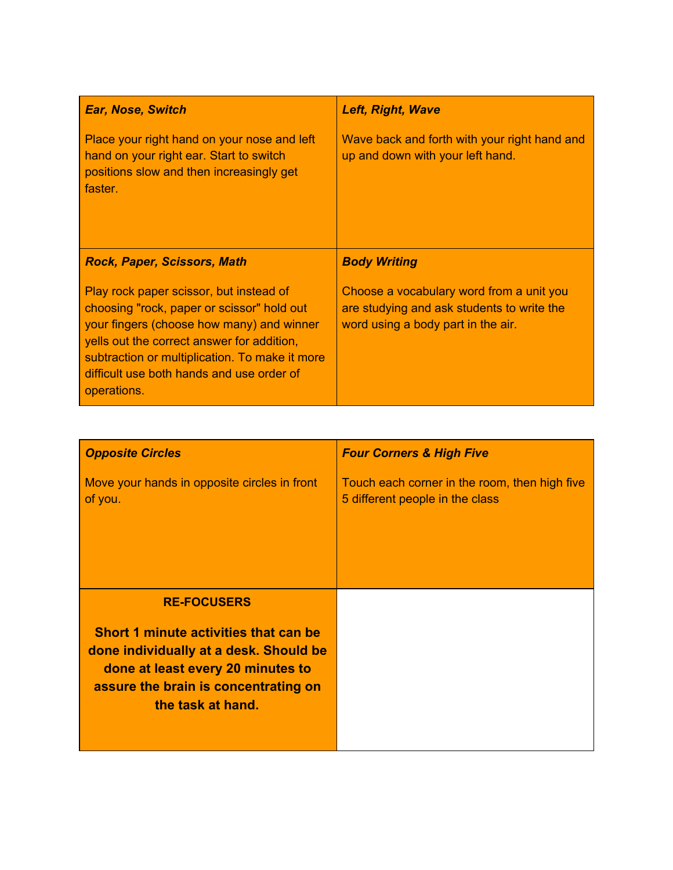| <b>Ear, Nose, Switch</b>                                                                                                                      | <b>Left, Right, Wave</b>                                                         |
|-----------------------------------------------------------------------------------------------------------------------------------------------|----------------------------------------------------------------------------------|
| Place your right hand on your nose and left<br>hand on your right ear. Start to switch<br>positions slow and then increasingly get<br>faster. | Wave back and forth with your right hand and<br>up and down with your left hand. |
| <b>Rock, Paper, Scissors, Math</b>                                                                                                            | <b>Body Writing</b>                                                              |
|                                                                                                                                               |                                                                                  |

| <b>Opposite Circles</b>                                                                                                                                                                                 | <b>Four Corners &amp; High Five</b>                                              |
|---------------------------------------------------------------------------------------------------------------------------------------------------------------------------------------------------------|----------------------------------------------------------------------------------|
| Move your hands in opposite circles in front<br>of you.                                                                                                                                                 | Touch each corner in the room, then high five<br>5 different people in the class |
| <b>RE-FOCUSERS</b><br>Short 1 minute activities that can be<br>done individually at a desk. Should be<br>done at least every 20 minutes to<br>assure the brain is concentrating on<br>the task at hand. |                                                                                  |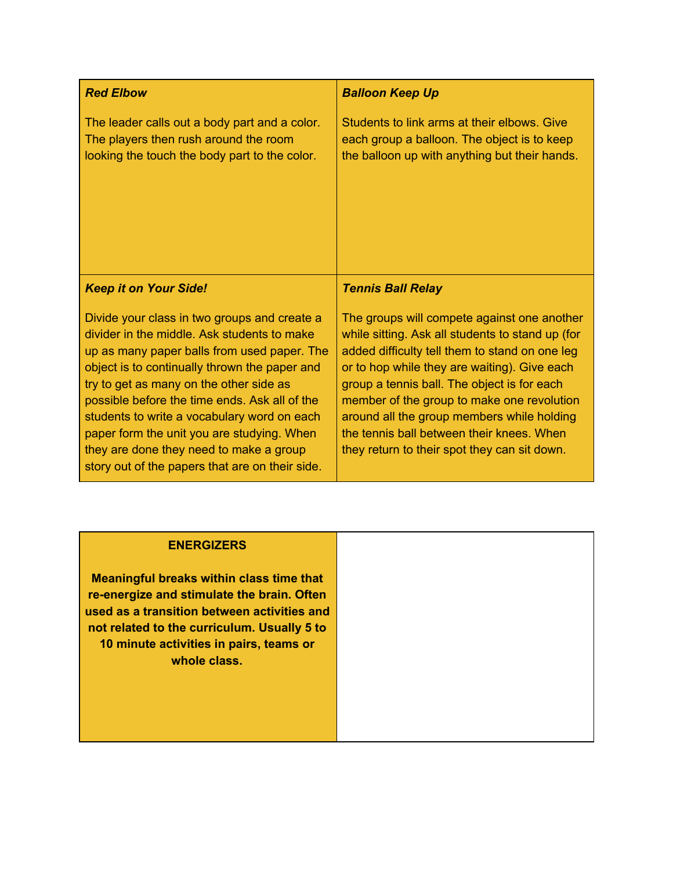| <b>Red Elbow</b>                                                                                                                                                                                                                                                                                                                                                                                                                                                                   | <b>Balloon Keep Up</b>                                                                                                                                                                                                                                                                                                                                                                                                                    |
|------------------------------------------------------------------------------------------------------------------------------------------------------------------------------------------------------------------------------------------------------------------------------------------------------------------------------------------------------------------------------------------------------------------------------------------------------------------------------------|-------------------------------------------------------------------------------------------------------------------------------------------------------------------------------------------------------------------------------------------------------------------------------------------------------------------------------------------------------------------------------------------------------------------------------------------|
| The leader calls out a body part and a color.<br>The players then rush around the room<br>looking the touch the body part to the color.                                                                                                                                                                                                                                                                                                                                            | Students to link arms at their elbows. Give<br>each group a balloon. The object is to keep<br>the balloon up with anything but their hands.                                                                                                                                                                                                                                                                                               |
| <b>Keep it on Your Side!</b>                                                                                                                                                                                                                                                                                                                                                                                                                                                       | <b>Tennis Ball Relay</b>                                                                                                                                                                                                                                                                                                                                                                                                                  |
| Divide your class in two groups and create a<br>divider in the middle. Ask students to make<br>up as many paper balls from used paper. The<br>object is to continually thrown the paper and<br>try to get as many on the other side as<br>possible before the time ends. Ask all of the<br>students to write a vocabulary word on each<br>paper form the unit you are studying. When<br>they are done they need to make a group<br>story out of the papers that are on their side. | The groups will compete against one another<br>while sitting. Ask all students to stand up (for<br>added difficulty tell them to stand on one leg<br>or to hop while they are waiting). Give each<br>group a tennis ball. The object is for each<br>member of the group to make one revolution<br>around all the group members while holding<br>the tennis ball between their knees. When<br>they return to their spot they can sit down. |

## **ENERGIZERS**

**Meaningful breaks within class time that re-energize and stimulate the brain. Often used as a transition between activities and not related to the curriculum. Usually 5 to 10 minute activities in pairs, teams or whole class.**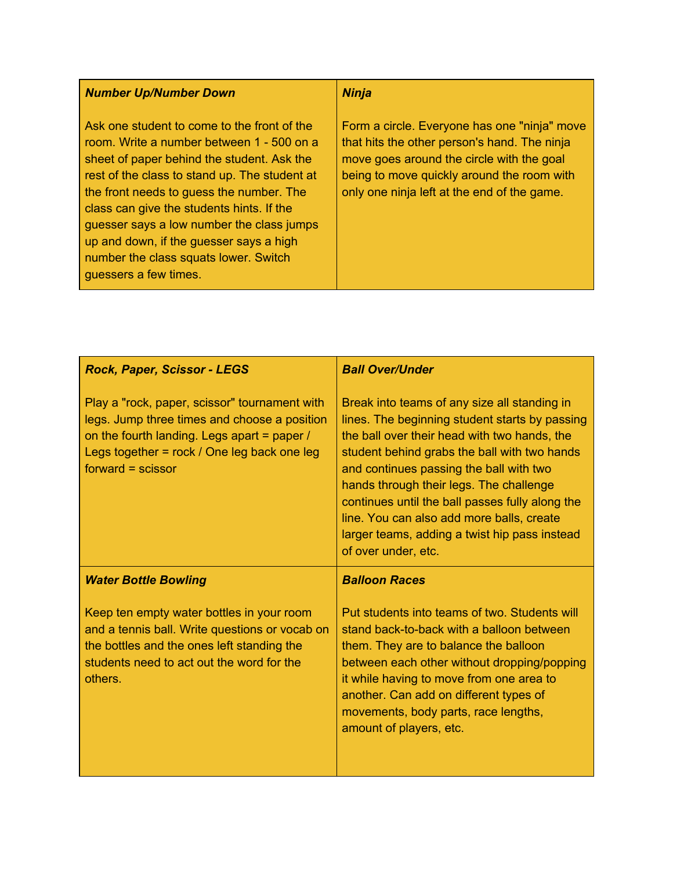## *Number Up/Number Down*

Ask one student to come to the front of the room. Write a number between 1 - 500 on a sheet of paper behind the student. Ask the rest of the class to stand up. The student at the front needs to guess the number. The class can give the students hints. If the guesser says a low number the class jumps up and down, if the guesser says a high number the class squats lower. Switch guessers a few times.

## *Ninja*

Form a circle. Everyone has one "ninja" move that hits the other person's hand. The ninja move goes around the circle with the goal being to move quickly around the room with only one ninja left at the end of the game.

| Rock, Paper, Scissor - LEGS                                                                                                                                                                                        | <b>Ball Over/Under</b>                                                                                                                                                                                                                                                                                                                                                                                                                                       |
|--------------------------------------------------------------------------------------------------------------------------------------------------------------------------------------------------------------------|--------------------------------------------------------------------------------------------------------------------------------------------------------------------------------------------------------------------------------------------------------------------------------------------------------------------------------------------------------------------------------------------------------------------------------------------------------------|
| Play a "rock, paper, scissor" tournament with<br>legs. Jump three times and choose a position<br>on the fourth landing. Legs apart = paper /<br>Legs together = rock / One leg back one leg<br>$forward = scissor$ | Break into teams of any size all standing in<br>lines. The beginning student starts by passing<br>the ball over their head with two hands, the<br>student behind grabs the ball with two hands<br>and continues passing the ball with two<br>hands through their legs. The challenge<br>continues until the ball passes fully along the<br>line. You can also add more balls, create<br>larger teams, adding a twist hip pass instead<br>of over under, etc. |
| <b>Water Bottle Bowling</b>                                                                                                                                                                                        | <b>Balloon Races</b>                                                                                                                                                                                                                                                                                                                                                                                                                                         |
| Keep ten empty water bottles in your room<br>and a tennis ball. Write questions or vocab on<br>the bottles and the ones left standing the<br>students need to act out the word for the<br>others.                  | Put students into teams of two. Students will<br>stand back-to-back with a balloon between<br>them. They are to balance the balloon<br>between each other without dropping/popping<br>it while having to move from one area to<br>another. Can add on different types of<br>movements, body parts, race lengths,<br>amount of players, etc.                                                                                                                  |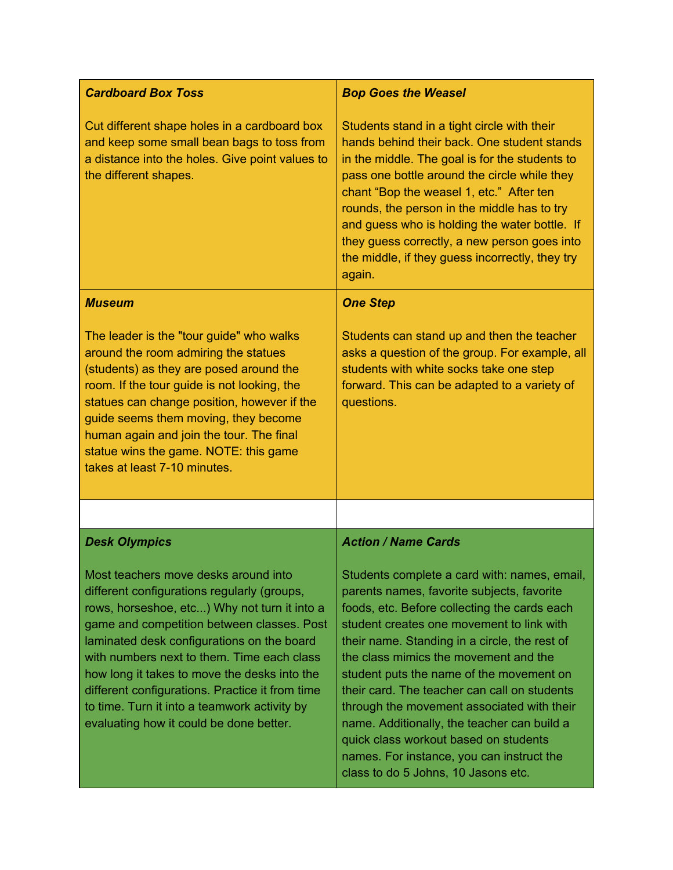| <b>Cardboard Box Toss</b>                                                                                                                                                                                                                                                                                                                                                                                                                                                   | <b>Bop Goes the Weasel</b>                                                                                                                                                                                                                                                                                                                                                                                                                                                                                                                                                                              |
|-----------------------------------------------------------------------------------------------------------------------------------------------------------------------------------------------------------------------------------------------------------------------------------------------------------------------------------------------------------------------------------------------------------------------------------------------------------------------------|---------------------------------------------------------------------------------------------------------------------------------------------------------------------------------------------------------------------------------------------------------------------------------------------------------------------------------------------------------------------------------------------------------------------------------------------------------------------------------------------------------------------------------------------------------------------------------------------------------|
| Cut different shape holes in a cardboard box<br>and keep some small bean bags to toss from<br>a distance into the holes. Give point values to<br>the different shapes.                                                                                                                                                                                                                                                                                                      | Students stand in a tight circle with their<br>hands behind their back. One student stands<br>in the middle. The goal is for the students to<br>pass one bottle around the circle while they<br>chant "Bop the weasel 1, etc." After ten<br>rounds, the person in the middle has to try<br>and guess who is holding the water bottle. If<br>they guess correctly, a new person goes into<br>the middle, if they guess incorrectly, they try<br>again.                                                                                                                                                   |
| <b>Museum</b>                                                                                                                                                                                                                                                                                                                                                                                                                                                               | <b>One Step</b>                                                                                                                                                                                                                                                                                                                                                                                                                                                                                                                                                                                         |
| The leader is the "tour guide" who walks<br>around the room admiring the statues<br>(students) as they are posed around the<br>room. If the tour guide is not looking, the<br>statues can change position, however if the<br>guide seems them moving, they become<br>human again and join the tour. The final<br>statue wins the game. NOTE: this game<br>takes at least 7-10 minutes.                                                                                      | Students can stand up and then the teacher<br>asks a question of the group. For example, all<br>students with white socks take one step<br>forward. This can be adapted to a variety of<br>questions.                                                                                                                                                                                                                                                                                                                                                                                                   |
|                                                                                                                                                                                                                                                                                                                                                                                                                                                                             |                                                                                                                                                                                                                                                                                                                                                                                                                                                                                                                                                                                                         |
| <b>Desk Olympics</b>                                                                                                                                                                                                                                                                                                                                                                                                                                                        | <b>Action / Name Cards</b>                                                                                                                                                                                                                                                                                                                                                                                                                                                                                                                                                                              |
| Most teachers move desks around into<br>different configurations regularly (groups,<br>rows, horseshoe, etc) Why not turn it into a<br>game and competition between classes. Post<br>laminated desk configurations on the board<br>with numbers next to them. Time each class<br>how long it takes to move the desks into the<br>different configurations. Practice it from time<br>to time. Turn it into a teamwork activity by<br>evaluating how it could be done better. | Students complete a card with: names, email,<br>parents names, favorite subjects, favorite<br>foods, etc. Before collecting the cards each<br>student creates one movement to link with<br>their name. Standing in a circle, the rest of<br>the class mimics the movement and the<br>student puts the name of the movement on<br>their card. The teacher can call on students<br>through the movement associated with their<br>name. Additionally, the teacher can build a<br>quick class workout based on students<br>names. For instance, you can instruct the<br>class to do 5 Johns, 10 Jasons etc. |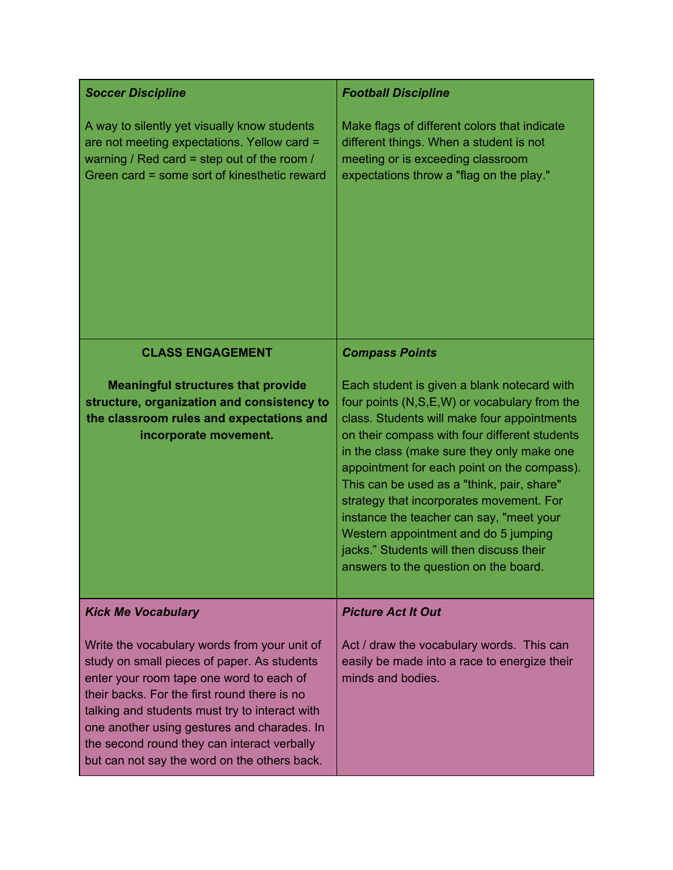| <b>Soccer Discipline</b>                                                                                                                                                                                                                                                                                                                                                                | <b>Football Discipline</b>                                                                                                                                                                                                                                                                                                                                                                                                                                                                                                                                  |
|-----------------------------------------------------------------------------------------------------------------------------------------------------------------------------------------------------------------------------------------------------------------------------------------------------------------------------------------------------------------------------------------|-------------------------------------------------------------------------------------------------------------------------------------------------------------------------------------------------------------------------------------------------------------------------------------------------------------------------------------------------------------------------------------------------------------------------------------------------------------------------------------------------------------------------------------------------------------|
| A way to silently yet visually know students<br>are not meeting expectations. Yellow card =<br>warning / Red card = step out of the room /<br>Green card = some sort of kinesthetic reward                                                                                                                                                                                              | Make flags of different colors that indicate<br>different things. When a student is not<br>meeting or is exceeding classroom<br>expectations throw a "flag on the play."                                                                                                                                                                                                                                                                                                                                                                                    |
| <b>CLASS ENGAGEMENT</b>                                                                                                                                                                                                                                                                                                                                                                 | <b>Compass Points</b>                                                                                                                                                                                                                                                                                                                                                                                                                                                                                                                                       |
| <b>Meaningful structures that provide</b><br>structure, organization and consistency to<br>the classroom rules and expectations and<br>incorporate movement.                                                                                                                                                                                                                            | Each student is given a blank notecard with<br>four points (N,S,E,W) or vocabulary from the<br>class. Students will make four appointments<br>on their compass with four different students<br>in the class (make sure they only make one<br>appointment for each point on the compass).<br>This can be used as a "think, pair, share"<br>strategy that incorporates movement. For<br>instance the teacher can say, "meet your<br>Western appointment and do 5 jumping<br>jacks." Students will then discuss their<br>answers to the question on the board. |
| <b>Kick Me Vocabulary</b>                                                                                                                                                                                                                                                                                                                                                               | <b>Picture Act It Out</b>                                                                                                                                                                                                                                                                                                                                                                                                                                                                                                                                   |
| Write the vocabulary words from your unit of<br>study on small pieces of paper. As students<br>enter your room tape one word to each of<br>their backs. For the first round there is no<br>talking and students must try to interact with<br>one another using gestures and charades. In<br>the second round they can interact verbally<br>but can not say the word on the others back. | Act / draw the vocabulary words. This can<br>easily be made into a race to energize their<br>minds and bodies.                                                                                                                                                                                                                                                                                                                                                                                                                                              |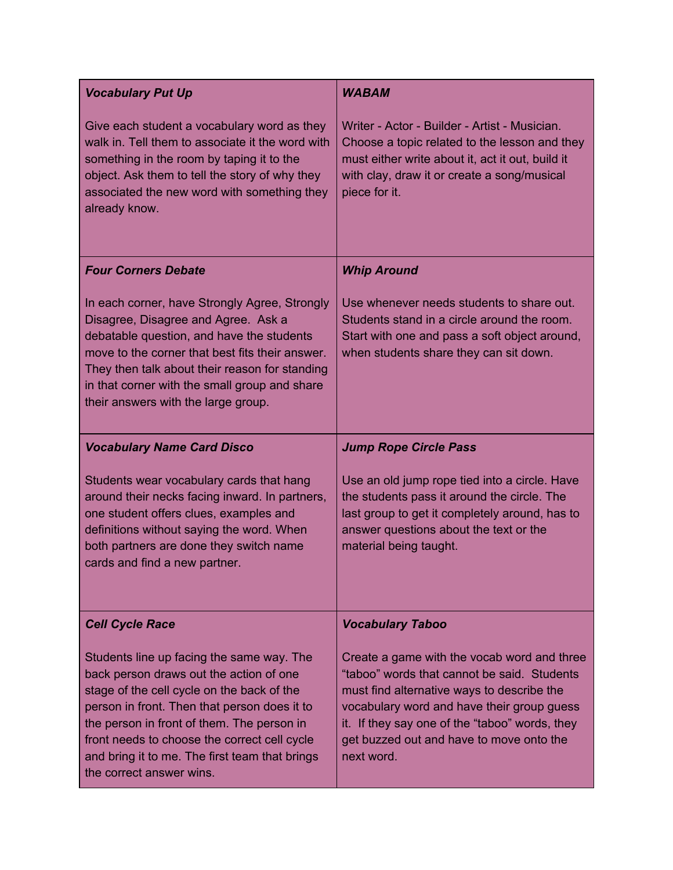| <b>Vocabulary Put Up</b>                                                                                                                                                                                                                                                                                                                                       | <b>WABAM</b>                                                                                                                                                                                                                                                                                       |
|----------------------------------------------------------------------------------------------------------------------------------------------------------------------------------------------------------------------------------------------------------------------------------------------------------------------------------------------------------------|----------------------------------------------------------------------------------------------------------------------------------------------------------------------------------------------------------------------------------------------------------------------------------------------------|
| Give each student a vocabulary word as they<br>walk in. Tell them to associate it the word with<br>something in the room by taping it to the<br>object. Ask them to tell the story of why they<br>associated the new word with something they<br>already know.                                                                                                 | Writer - Actor - Builder - Artist - Musician.<br>Choose a topic related to the lesson and they<br>must either write about it, act it out, build it<br>with clay, draw it or create a song/musical<br>piece for it.                                                                                 |
| <b>Four Corners Debate</b>                                                                                                                                                                                                                                                                                                                                     | <b>Whip Around</b>                                                                                                                                                                                                                                                                                 |
| In each corner, have Strongly Agree, Strongly<br>Disagree, Disagree and Agree. Ask a<br>debatable question, and have the students<br>move to the corner that best fits their answer.<br>They then talk about their reason for standing<br>in that corner with the small group and share<br>their answers with the large group.                                 | Use whenever needs students to share out.<br>Students stand in a circle around the room.<br>Start with one and pass a soft object around,<br>when students share they can sit down.                                                                                                                |
| <b>Vocabulary Name Card Disco</b>                                                                                                                                                                                                                                                                                                                              | <b>Jump Rope Circle Pass</b>                                                                                                                                                                                                                                                                       |
| Students wear vocabulary cards that hang<br>around their necks facing inward. In partners,<br>one student offers clues, examples and<br>definitions without saying the word. When<br>both partners are done they switch name<br>cards and find a new partner.                                                                                                  | Use an old jump rope tied into a circle. Have<br>the students pass it around the circle. The<br>last group to get it completely around, has to<br>answer questions about the text or the<br>material being taught.                                                                                 |
| <b>Cell Cycle Race</b>                                                                                                                                                                                                                                                                                                                                         | <b>Vocabulary Taboo</b>                                                                                                                                                                                                                                                                            |
| Students line up facing the same way. The<br>back person draws out the action of one<br>stage of the cell cycle on the back of the<br>person in front. Then that person does it to<br>the person in front of them. The person in<br>front needs to choose the correct cell cycle<br>and bring it to me. The first team that brings<br>the correct answer wins. | Create a game with the vocab word and three<br>"taboo" words that cannot be said. Students<br>must find alternative ways to describe the<br>vocabulary word and have their group guess<br>it. If they say one of the "taboo" words, they<br>get buzzed out and have to move onto the<br>next word. |